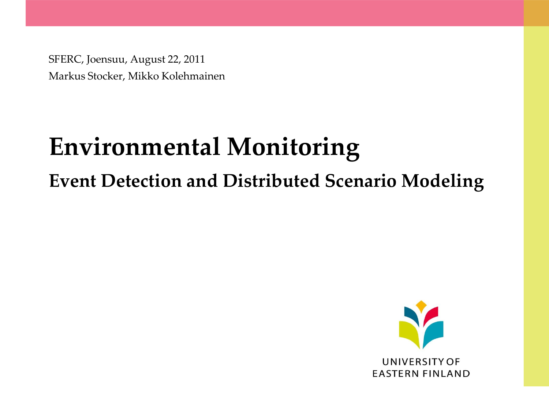SFERC, Joensuu, August 22, 2011 Markus Stocker, Mikko Kolehmainen

# **Environmental Monitoring**

#### **Event Detection and Distributed Scenario Modeling**

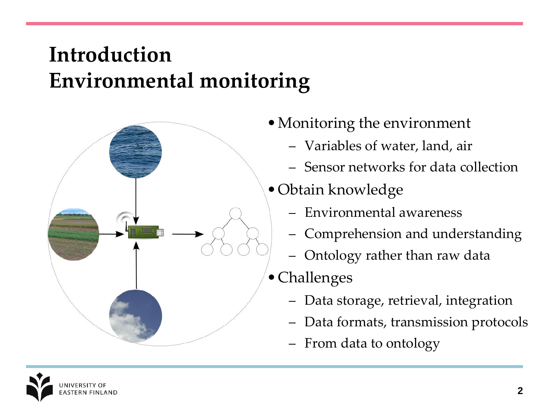#### **Introduction Environmental monitoring**



- •Monitoring the environment
	- Variables of water, land, air
	- Sensor networks for data collection
- •Obtain knowledge
	- Environmental awareness
	- Comprehension and understanding
	- Ontology rather than raw data
- •Challenges
	- Data storage, retrieval, integration
	- Data formats, transmission protocols
	- From data to ontology

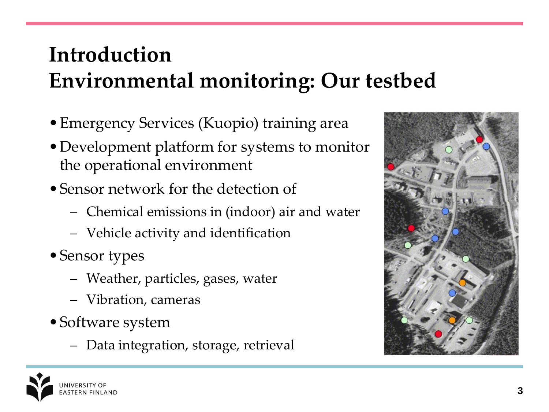# **Introduction Environmental monitoring: Our testbed**

- •Emergency Services (Kuopio) training area
- •Development platform for systems to monitor the operational environment
- Sensor network for the detection of
	- Chemical emissions in (indoor) air and water
	- Vehicle activity and identification
- •Sensor types
	- Weather, particles, gases, water
	- Vibration, cameras
- •Software system
	- Data integration, storage, retrieval



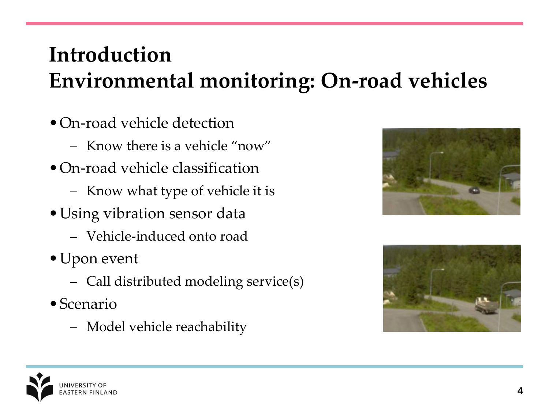# **Introduction Environmental monitoring: On-road vehicles**

- On-road vehicle detection
	- Know there is a vehicle "now"
- On-road vehicle classification
	- Know what type of vehicle it is
- •Using vibration sensor data
	- Vehicle-induced onto road
- •Upon event
	- Call distributed modeling service(s)
- •Scenario
	- Model vehicle reachability





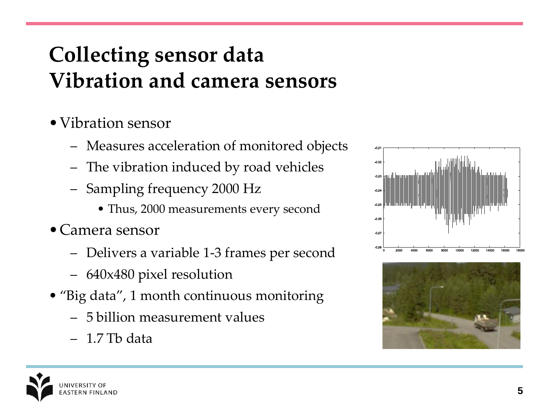# **Collecting sensor data Vibration and camera sensors**

- •Vibration sensor
	- Measures acceleration of monitored objects
	- The vibration induced by road vehicles
	- Sampling frequency 2000 Hz
		- Thus, 2000 measurements every second
- •Camera sensor
	- Delivers a variable 1-3 frames per second
	- 640x480 pixel resolution
- "Big data", 1 month continuous monitoring
	- 5 billion measurement values
	- 1.7 Tb data



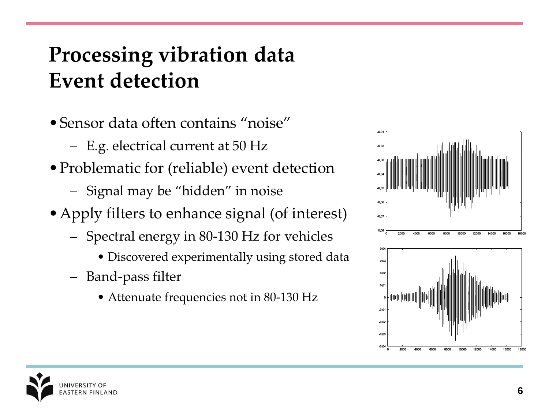# **Processing vibration data Event detection**

- •Sensor data often contains "noise"
	- E.g. electrical current at 50 Hz
- Problematic for (reliable) event detection
	- Signal may be "hidden" in noise
- Apply filters to enhance signal (of interest)
	- Spectral energy in 80-130 Hz for vehicles
		- Discovered experimentally using stored data
	- Band-pass filter
		- Attenuate frequencies not in 80-130 Hz



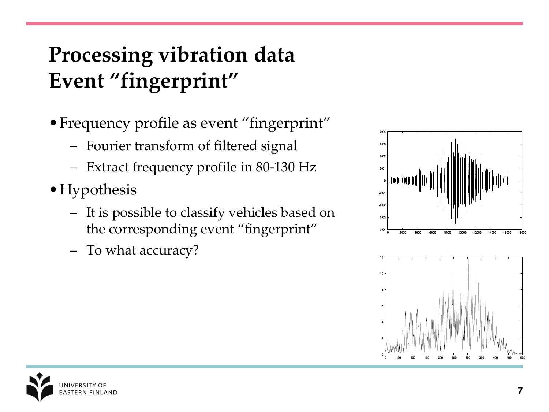# **Processing vibration data Event "fingerprint"**

- •Frequency profile as event "fingerprint"
	- Fourier transform of filtered signal
	- Extract frequency profile in 80-130 Hz
- Hypothesis
	- It is possible to classify vehicles based on the corresponding event "fingerprint"
	- To what accuracy?





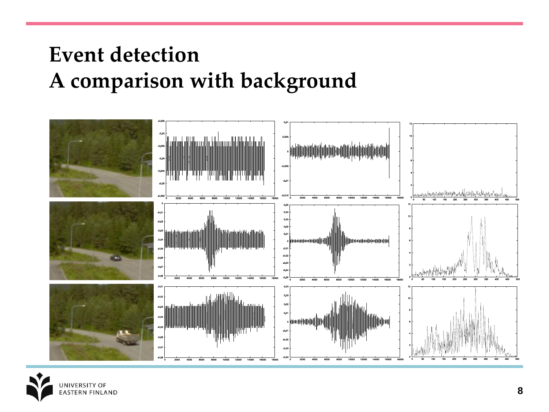#### **Event detection A comparison with background**



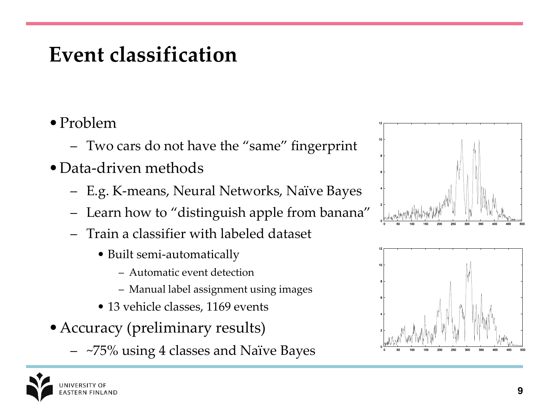#### **Event classification**

- •Problem
	- Two cars do not have the "same" fingerprint
- •Data-driven methods
	- E.g. K-means, Neural Networks, Naïve Bayes
	- Learn how to "distinguish apple from banana"
	- Train a classifier with labeled dataset
		- Built semi-automatically
			- Automatic event detection
			- Manual label assignment using images
		- 13 vehicle classes, 1169 events
- •Accuracy (preliminary results)
	- ~75% using 4 classes and Naïve Bayes



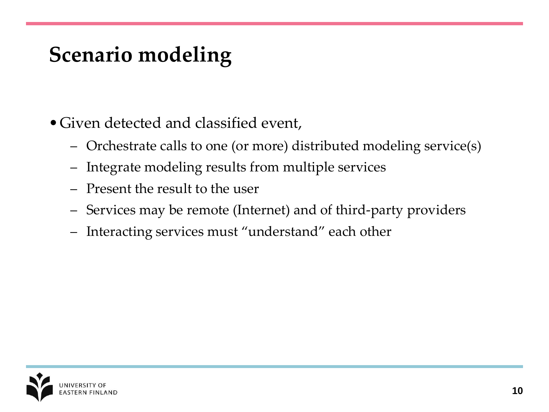#### **Scenario modeling**

- •Given detected and classified event,
	- Orchestrate calls to one (or more) distributed modeling service(s)
	- Integrate modeling results from multiple services
	- Present the result to the user
	- Services may be remote (Internet) and of third-party providers
	- Interacting services must "understand" each other

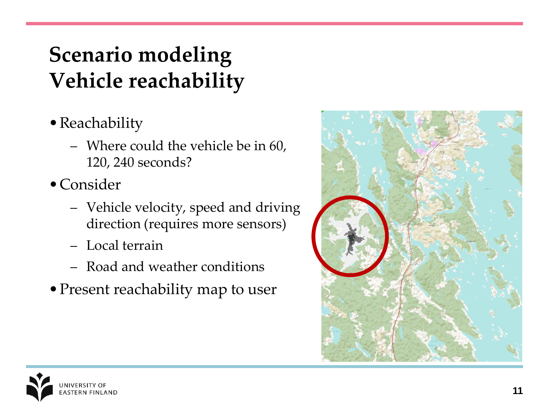# **Scenario modeling Vehicle reachability**

- •Reachability
	- Where could the vehicle be in 60, 120, 240 seconds?
- •Consider
	- Vehicle velocity, speed and driving direction (requires more sensors)
	- Local terrain
	- Road and weather conditions
- Present reachability map to user



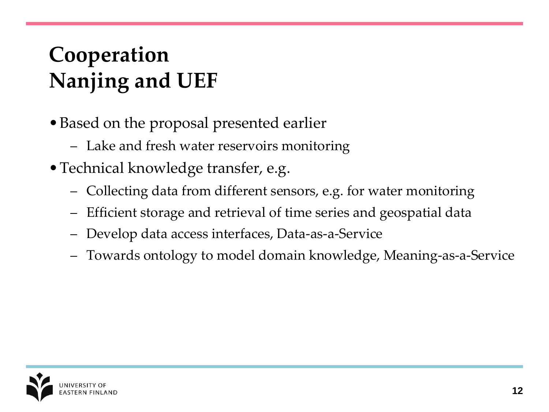# **Cooperation Nanjing and UEF**

- •Based on the proposal presented earlier
	- Lake and fresh water reservoirs monitoring
- •Technical knowledge transfer, e.g.
	- Collecting data from different sensors, e.g. for water monitoring
	- Efficient storage and retrieval of time series and geospatial data
	- Develop data access interfaces, Data-as-a-Service
	- Towards ontology to model domain knowledge, Meaning-as-a-Service